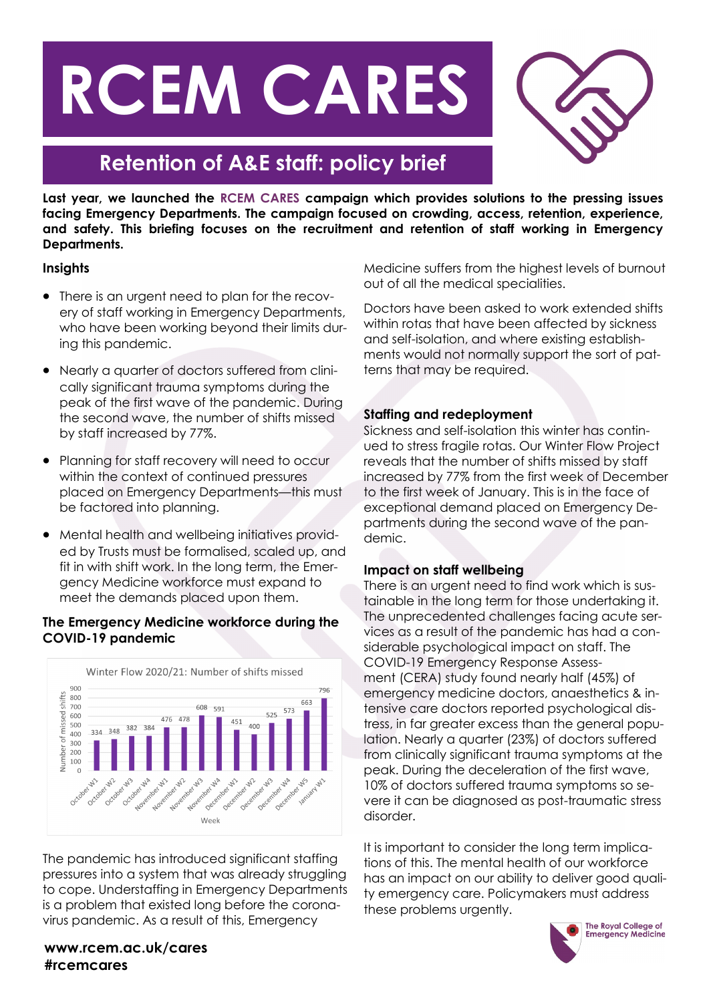# **RCEM CARES**



# **Retention of A&E staff: policy brief**

**Last year, we launched the RCEM CARES campaign which provides solutions to the pressing issues facing Emergency Departments. The campaign focused on crowding, access, retention, experience, and safety. This briefing focuses on the recruitment and retention of staff working in Emergency Departments.**

# **Insights**

- There is an urgent need to plan for the recovery of staff working in Emergency Departments, who have been working beyond their limits during this pandemic.
- Nearly a quarter of doctors suffered from clinically significant trauma symptoms during the peak of the first wave of the pandemic. During the second wave, the number of shifts missed by staff increased by 77%.
- Planning for staff recovery will need to occur within the context of continued pressures placed on Emergency Departments—this must be factored into planning.
- Mental health and wellbeing initiatives provided by Trusts must be formalised, scaled up, and fit in with shift work. In the long term, the Emergency Medicine workforce must expand to meet the demands placed upon them.

### **The Emergency Medicine workforce during the COVID-19 pandemic**



The pandemic has introduced significant staffing pressures into a system that was already struggling to cope. Understaffing in Emergency Departments is a problem that existed long before the coronavirus pandemic. As a result of this, Emergency

Medicine suffers from the highest levels of burnout out of all the medical specialities.

Doctors have been asked to work extended shifts within rotas that have been affected by sickness and self-isolation, and where existing establishments would not normally support the sort of patterns that may be required.

# **Staffing and redeployment**

Sickness and self-isolation this winter has continued to stress fragile rotas. Our Winter Flow Project reveals that the number of shifts missed by staff increased by 77% from the first week of December to the first week of January. This is in the face of exceptional demand placed on Emergency Departments during the second wave of the pandemic.

# **Impact on staff wellbeing**

There is an urgent need to find work which is sustainable in the long term for those undertaking it. The unprecedented challenges facing acute services as a result of the pandemic has had a considerable psychological impact on staff. The COVID-19 Emergency Response Assessment (CERA) study found nearly half (45%) of emergency medicine doctors, anaesthetics & intensive care doctors reported psychological distress, in far greater excess than the general population. Nearly a quarter (23%) of doctors suffered from clinically significant trauma symptoms at the peak. During the deceleration of the first wave, 10% of doctors suffered trauma symptoms so severe it can be diagnosed as post-traumatic stress disorder.

It is important to consider the long term implications of this. The mental health of our workforce has an impact on our ability to deliver good quality emergency care. Policymakers must address these problems urgently.



### **www.rcem.ac.uk/cares #rcemcares**